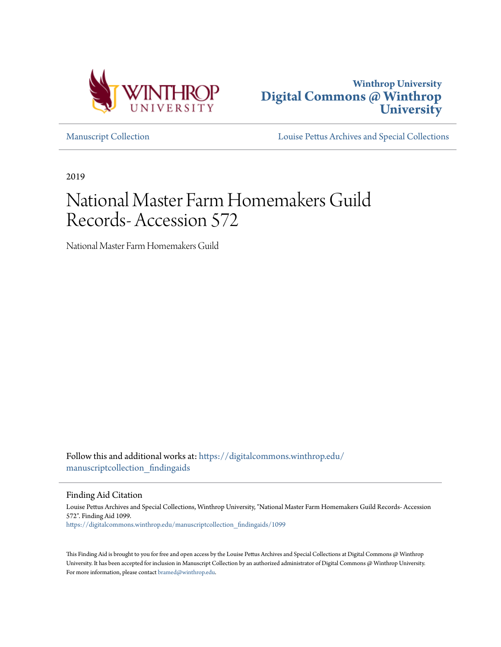



[Manuscript Collection](https://digitalcommons.winthrop.edu/manuscriptcollection_findingaids?utm_source=digitalcommons.winthrop.edu%2Fmanuscriptcollection_findingaids%2F1099&utm_medium=PDF&utm_campaign=PDFCoverPages) [Louise Pettus Archives and Special Collections](https://digitalcommons.winthrop.edu/pettus_archives?utm_source=digitalcommons.winthrop.edu%2Fmanuscriptcollection_findingaids%2F1099&utm_medium=PDF&utm_campaign=PDFCoverPages)

2019

# National Master Farm Homemakers Guild Records- Accession 572

National Master Farm Homemakers Guild

Follow this and additional works at: [https://digitalcommons.winthrop.edu/](https://digitalcommons.winthrop.edu/manuscriptcollection_findingaids?utm_source=digitalcommons.winthrop.edu%2Fmanuscriptcollection_findingaids%2F1099&utm_medium=PDF&utm_campaign=PDFCoverPages) manuscriptcollection findingaids

Finding Aid Citation

Louise Pettus Archives and Special Collections, Winthrop University, "National Master Farm Homemakers Guild Records- Accession 572". Finding Aid 1099. [https://digitalcommons.winthrop.edu/manuscriptcollection\\_findingaids/1099](https://digitalcommons.winthrop.edu/manuscriptcollection_findingaids/1099?utm_source=digitalcommons.winthrop.edu%2Fmanuscriptcollection_findingaids%2F1099&utm_medium=PDF&utm_campaign=PDFCoverPages)

This Finding Aid is brought to you for free and open access by the Louise Pettus Archives and Special Collections at Digital Commons @ Winthrop University. It has been accepted for inclusion in Manuscript Collection by an authorized administrator of Digital Commons @ Winthrop University. For more information, please contact [bramed@winthrop.edu.](mailto:bramed@winthrop.edu)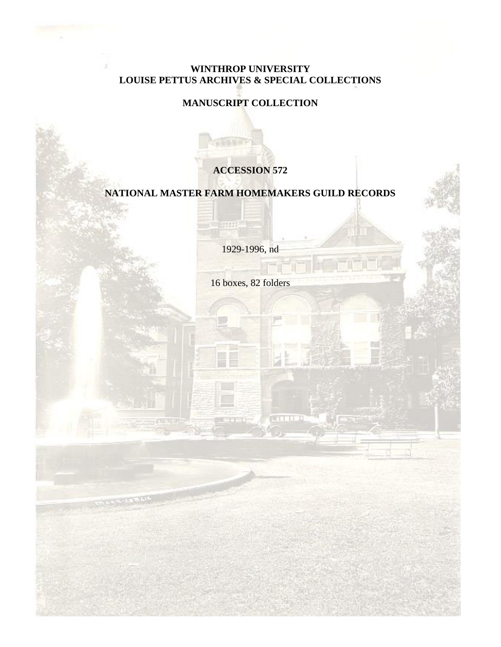## **WINTHROP UNIVERSITY LOUISE PETTUS ARCHIVES & SPECIAL COLLECTIONS**

## **MANUSCRIPT COLLECTION**

## **ACCESSION 572**

### **NATIONAL MASTER FARM HOMEMAKERS GUILD RECORDS**

1929-1996, nd

HUILE-

16 boxes, 82 folders

**CELLE**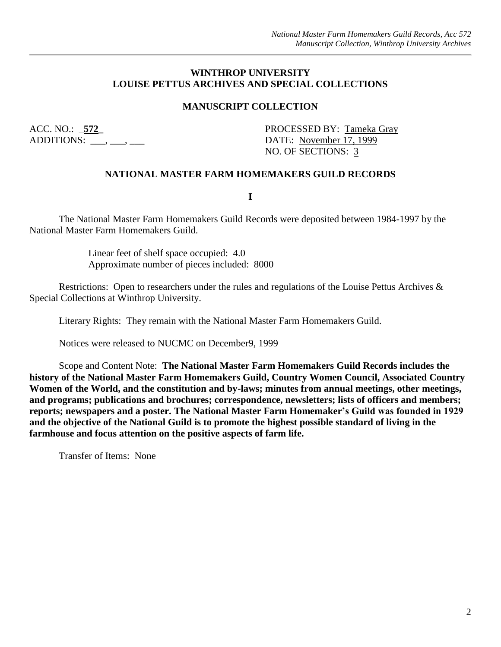#### **WINTHROP UNIVERSITY LOUISE PETTUS ARCHIVES AND SPECIAL COLLECTIONS**

#### **MANUSCRIPT COLLECTION**

ADDITIONS: \_\_\_, \_\_\_, \_\_\_\_ DATE: November 17, 1999

ACC. NO.: 572\_ PROCESSED BY: Tameka Gray NO. OF SECTIONS: 3

#### **NATIONAL MASTER FARM HOMEMAKERS GUILD RECORDS**

**I**

The National Master Farm Homemakers Guild Records were deposited between 1984-1997 by the National Master Farm Homemakers Guild.

> Linear feet of shelf space occupied: 4.0 Approximate number of pieces included: 8000

Restrictions: Open to researchers under the rules and regulations of the Louise Pettus Archives & Special Collections at Winthrop University.

Literary Rights: They remain with the National Master Farm Homemakers Guild.

Notices were released to NUCMC on December9, 1999

Scope and Content Note: **The National Master Farm Homemakers Guild Records includes the history of the National Master Farm Homemakers Guild, Country Women Council, Associated Country Women of the World, and the constitution and by-laws; minutes from annual meetings, other meetings, and programs; publications and brochures; correspondence, newsletters; lists of officers and members; reports; newspapers and a poster. The National Master Farm Homemaker's Guild was founded in 1929 and the objective of the National Guild is to promote the highest possible standard of living in the farmhouse and focus attention on the positive aspects of farm life.**

Transfer of Items: None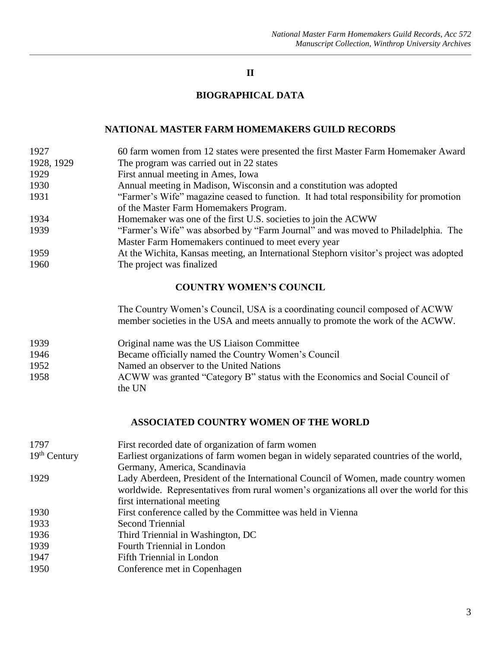#### **II**

#### **BIOGRAPHICAL DATA**

#### **NATIONAL MASTER FARM HOMEMAKERS GUILD RECORDS**

- 1927 60 farm women from 12 states were presented the first Master Farm Homemaker Award 1928, 1929 The program was carried out in 22 states 1929 First annual meeting in Ames, Iowa 1930 Annual meeting in Madison, Wisconsin and a constitution was adopted 1931 "Farmer's Wife" magazine ceased to function. It had total responsibility for promotion of the Master Farm Homemakers Program. 1934 Homemaker was one of the first U.S. societies to join the ACWW 1939 "Farmer's Wife" was absorbed by "Farm Journal" and was moved to Philadelphia. The Master Farm Homemakers continued to meet every year 1959 At the Wichita, Kansas meeting, an International Stephorn visitor's project was adopted
- 1960 The project was finalized

#### **COUNTRY WOMEN'S COUNCIL**

The Country Women's Council, USA is a coordinating council composed of ACWW member societies in the USA and meets annually to promote the work of the ACWW.

- 1939 Original name was the US Liaison Committee
- 1946 Became officially named the Country Women's Council
- 1952 Named an observer to the United Nations
- 1958 ACWW was granted "Category B" status with the Economics and Social Council of the UN

#### **ASSOCIATED COUNTRY WOMEN OF THE WORLD**

| First recorded date of organization of farm women                                       |
|-----------------------------------------------------------------------------------------|
| Earliest organizations of farm women began in widely separated countries of the world,  |
| Germany, America, Scandinavia                                                           |
| Lady Aberdeen, President of the International Council of Women, made country women      |
| worldwide. Representatives from rural women's organizations all over the world for this |
| first international meeting                                                             |
| First conference called by the Committee was held in Vienna                             |
| <b>Second Triennial</b>                                                                 |
| Third Triennial in Washington, DC                                                       |
| Fourth Triennial in London                                                              |
| Fifth Triennial in London                                                               |
| Conference met in Copenhagen                                                            |
|                                                                                         |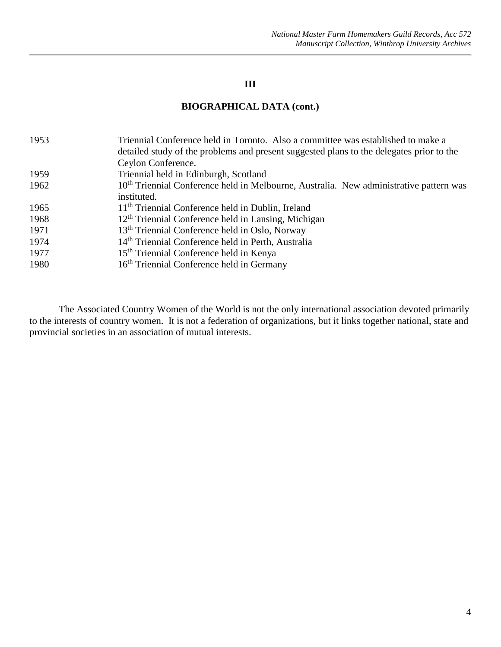#### **III**

#### **BIOGRAPHICAL DATA (cont.)**

| 1953 | Triennial Conference held in Toronto. Also a committee was established to make a<br>detailed study of the problems and present suggested plans to the delegates prior to the |
|------|------------------------------------------------------------------------------------------------------------------------------------------------------------------------------|
|      | Ceylon Conference.                                                                                                                                                           |
| 1959 | Triennial held in Edinburgh, Scotland                                                                                                                                        |
| 1962 | 10 <sup>th</sup> Triennial Conference held in Melbourne, Australia. New administrative pattern was                                                                           |
|      | instituted.                                                                                                                                                                  |
| 1965 | 11 <sup>th</sup> Triennial Conference held in Dublin, Ireland                                                                                                                |
| 1968 | $12th$ Triennial Conference held in Lansing, Michigan                                                                                                                        |
| 1971 | 13 <sup>th</sup> Triennial Conference held in Oslo, Norway                                                                                                                   |
| 1974 | 14 <sup>th</sup> Triennial Conference held in Perth, Australia                                                                                                               |
| 1977 | 15 <sup>th</sup> Triennial Conference held in Kenya                                                                                                                          |
| 1980 | 16 <sup>th</sup> Triennial Conference held in Germany                                                                                                                        |

The Associated Country Women of the World is not the only international association devoted primarily to the interests of country women. It is not a federation of organizations, but it links together national, state and provincial societies in an association of mutual interests.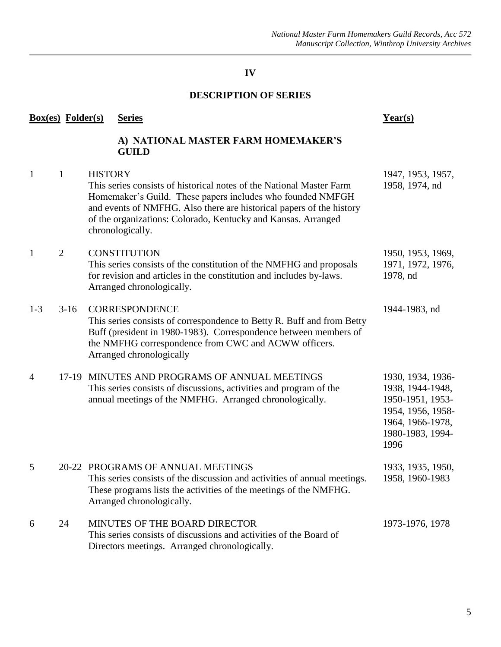## **DESCRIPTION OF SERIES**

|                | <b>Box(es)</b> Folder(s) |                | <b>Series</b>                                                                                                                                                                                                                                                                                   | Year(s)                                                                                                                        |
|----------------|--------------------------|----------------|-------------------------------------------------------------------------------------------------------------------------------------------------------------------------------------------------------------------------------------------------------------------------------------------------|--------------------------------------------------------------------------------------------------------------------------------|
|                |                          |                | A) NATIONAL MASTER FARM HOMEMAKER'S<br><b>GUILD</b>                                                                                                                                                                                                                                             |                                                                                                                                |
| $\mathbf{1}$   | $\mathbf{1}$             | <b>HISTORY</b> | This series consists of historical notes of the National Master Farm<br>Homemaker's Guild. These papers includes who founded NMFGH<br>and events of NMFHG. Also there are historical papers of the history<br>of the organizations: Colorado, Kentucky and Kansas. Arranged<br>chronologically. | 1947, 1953, 1957,<br>1958, 1974, nd                                                                                            |
| $\mathbf{1}$   | $\overline{2}$           |                | <b>CONSTITUTION</b><br>This series consists of the constitution of the NMFHG and proposals<br>for revision and articles in the constitution and includes by-laws.<br>Arranged chronologically.                                                                                                  | 1950, 1953, 1969,<br>1971, 1972, 1976,<br>1978, nd                                                                             |
| $1 - 3$        | $3-16$                   |                | <b>CORRESPONDENCE</b><br>This series consists of correspondence to Betty R. Buff and from Betty<br>Buff (president in 1980-1983). Correspondence between members of<br>the NMFHG correspondence from CWC and ACWW officers.<br>Arranged chronologically                                         | 1944-1983, nd                                                                                                                  |
| $\overline{4}$ |                          |                | 17-19 MINUTES AND PROGRAMS OF ANNUAL MEETINGS<br>This series consists of discussions, activities and program of the<br>annual meetings of the NMFHG. Arranged chronologically.                                                                                                                  | 1930, 1934, 1936-<br>1938, 1944-1948,<br>1950-1951, 1953-<br>1954, 1956, 1958-<br>1964, 1966-1978,<br>1980-1983, 1994-<br>1996 |
| 5              |                          |                | 20-22 PROGRAMS OF ANNUAL MEETINGS<br>This series consists of the discussion and activities of annual meetings.<br>These programs lists the activities of the meetings of the NMFHG.<br>Arranged chronologically.                                                                                | 1933, 1935, 1950,<br>1958, 1960-1983                                                                                           |
| 6              | 24                       |                | MINUTES OF THE BOARD DIRECTOR<br>This series consists of discussions and activities of the Board of<br>Directors meetings. Arranged chronologically.                                                                                                                                            | 1973-1976, 1978                                                                                                                |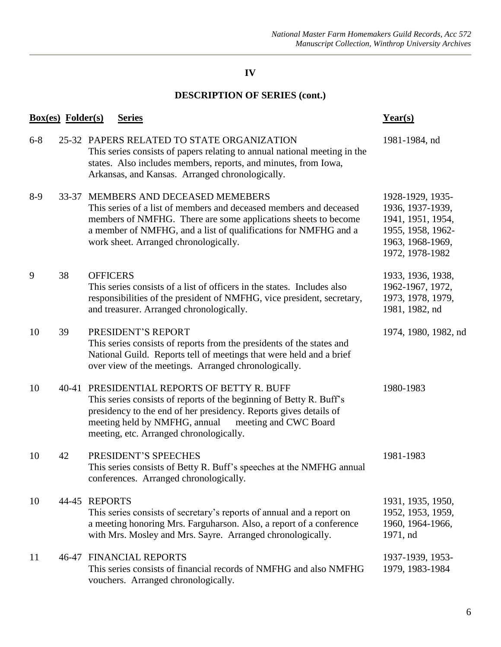|         | <b>Box(es)</b> Folder(s) |                 | <b>Series</b>                                                                                                                                                                                                                                                                                | Year(s)                                                                                                               |
|---------|--------------------------|-----------------|----------------------------------------------------------------------------------------------------------------------------------------------------------------------------------------------------------------------------------------------------------------------------------------------|-----------------------------------------------------------------------------------------------------------------------|
| $6 - 8$ |                          |                 | 25-32 PAPERS RELATED TO STATE ORGANIZATION<br>This series consists of papers relating to annual national meeting in the<br>states. Also includes members, reports, and minutes, from Iowa,<br>Arkansas, and Kansas. Arranged chronologically.                                                | 1981-1984, nd                                                                                                         |
| $8-9$   |                          |                 | 33-37 MEMBERS AND DECEASED MEMEBERS<br>This series of a list of members and deceased members and deceased<br>members of NMFHG. There are some applications sheets to become<br>a member of NMFHG, and a list of qualifications for NMFHG and a<br>work sheet. Arranged chronologically.      | 1928-1929, 1935-<br>1936, 1937-1939,<br>1941, 1951, 1954,<br>1955, 1958, 1962-<br>1963, 1968-1969,<br>1972, 1978-1982 |
| 9       | 38                       | <b>OFFICERS</b> | This series consists of a list of officers in the states. Includes also<br>responsibilities of the president of NMFHG, vice president, secretary,<br>and treasurer. Arranged chronologically.                                                                                                | 1933, 1936, 1938,<br>1962-1967, 1972,<br>1973, 1978, 1979,<br>1981, 1982, nd                                          |
| 10      | 39                       |                 | PRESIDENT'S REPORT<br>This series consists of reports from the presidents of the states and<br>National Guild. Reports tell of meetings that were held and a brief<br>over view of the meetings. Arranged chronologically.                                                                   | 1974, 1980, 1982, nd                                                                                                  |
| 10      |                          |                 | 40-41 PRESIDENTIAL REPORTS OF BETTY R. BUFF<br>This series consists of reports of the beginning of Betty R. Buff's<br>presidency to the end of her presidency. Reports gives details of<br>meeting held by NMFHG, annual<br>meeting and CWC Board<br>meeting, etc. Arranged chronologically. | 1980-1983                                                                                                             |
| 10      | 42                       |                 | PRESIDENT'S SPEECHES<br>This series consists of Betty R. Buff's speeches at the NMFHG annual<br>conferences. Arranged chronologically.                                                                                                                                                       | 1981-1983                                                                                                             |
| 10      |                          | 44-45 REPORTS   | This series consists of secretary's reports of annual and a report on<br>a meeting honoring Mrs. Farguharson. Also, a report of a conference<br>with Mrs. Mosley and Mrs. Sayre. Arranged chronologically.                                                                                   | 1931, 1935, 1950,<br>1952, 1953, 1959,<br>1960, 1964-1966,<br>1971, nd                                                |
| 11      |                          |                 | <b>46-47 FINANCIAL REPORTS</b><br>This series consists of financial records of NMFHG and also NMFHG<br>vouchers. Arranged chronologically.                                                                                                                                                   | 1937-1939, 1953-<br>1979, 1983-1984                                                                                   |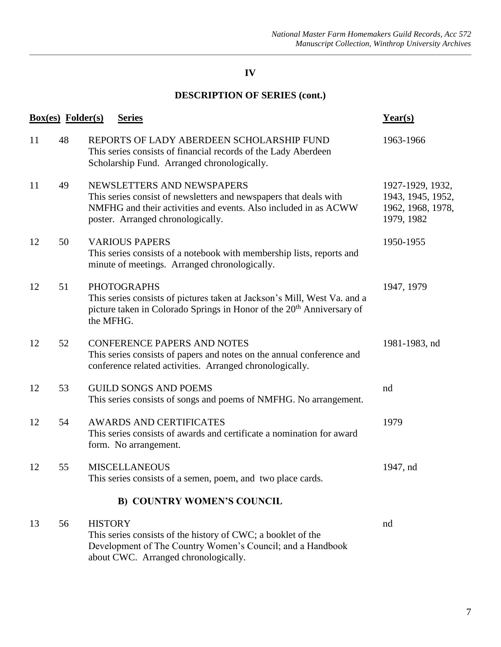|    | <b>Box(es)</b> Folder(s) | <b>Series</b>                                                                                                                                                                                           | Year(s)                                                                  |
|----|--------------------------|---------------------------------------------------------------------------------------------------------------------------------------------------------------------------------------------------------|--------------------------------------------------------------------------|
| 11 | 48                       | REPORTS OF LADY ABERDEEN SCHOLARSHIP FUND<br>This series consists of financial records of the Lady Aberdeen<br>Scholarship Fund. Arranged chronologically.                                              | 1963-1966                                                                |
| 11 | 49                       | NEWSLETTERS AND NEWSPAPERS<br>This series consist of newsletters and newspapers that deals with<br>NMFHG and their activities and events. Also included in as ACWW<br>poster. Arranged chronologically. | 1927-1929, 1932,<br>1943, 1945, 1952,<br>1962, 1968, 1978,<br>1979, 1982 |
| 12 | 50                       | <b>VARIOUS PAPERS</b><br>This series consists of a notebook with membership lists, reports and<br>minute of meetings. Arranged chronologically.                                                         | 1950-1955                                                                |
| 12 | 51                       | <b>PHOTOGRAPHS</b><br>This series consists of pictures taken at Jackson's Mill, West Va. and a<br>picture taken in Colorado Springs in Honor of the 20 <sup>th</sup> Anniversary of<br>the MFHG.        | 1947, 1979                                                               |
| 12 | 52                       | <b>CONFERENCE PAPERS AND NOTES</b><br>This series consists of papers and notes on the annual conference and<br>conference related activities. Arranged chronologically.                                 | 1981-1983, nd                                                            |
| 12 | 53                       | <b>GUILD SONGS AND POEMS</b><br>This series consists of songs and poems of NMFHG. No arrangement.                                                                                                       | nd                                                                       |
| 12 | 54                       | <b>AWARDS AND CERTIFICATES</b><br>This series consists of awards and certificate a nomination for award<br>form. No arrangement.                                                                        | 1979                                                                     |
| 12 | 55                       | <b>MISCELLANEOUS</b><br>This series consists of a semen, poem, and two place cards.                                                                                                                     | 1947, nd                                                                 |
|    |                          | <b>B) COUNTRY WOMEN'S COUNCIL</b>                                                                                                                                                                       |                                                                          |
| 13 | 56                       | <b>HISTORY</b><br>This series consists of the history of CWC; a booklet of the<br>Development of The Country Women's Council; and a Handbook<br>about CWC. Arranged chronologically.                    | nd                                                                       |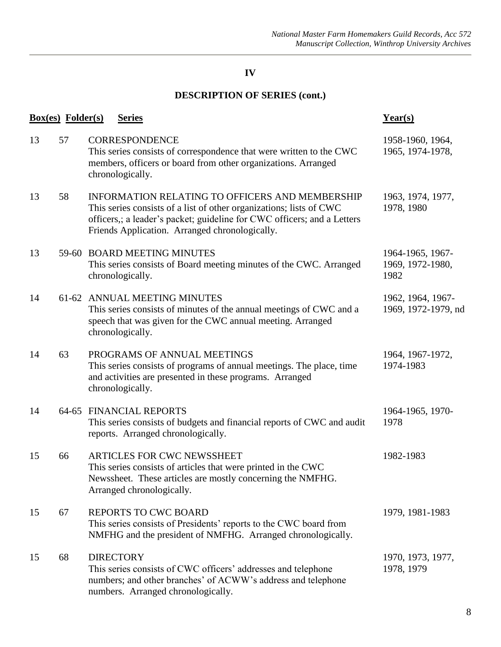|    | <u>Box(es)</u> Folder(s) | <b>Series</b>                                                                                                                                                                                                                                              | $Year(s)$                                    |
|----|--------------------------|------------------------------------------------------------------------------------------------------------------------------------------------------------------------------------------------------------------------------------------------------------|----------------------------------------------|
| 13 | 57                       | <b>CORRESPONDENCE</b><br>This series consists of correspondence that were written to the CWC<br>members, officers or board from other organizations. Arranged<br>chronologically.                                                                          | 1958-1960, 1964,<br>1965, 1974-1978,         |
| 13 | 58                       | <b>INFORMATION RELATING TO OFFICERS AND MEMBERSHIP</b><br>This series consists of a list of other organizations; lists of CWC<br>officers,; a leader's packet; guideline for CWC officers; and a Letters<br>Friends Application. Arranged chronologically. | 1963, 1974, 1977,<br>1978, 1980              |
| 13 |                          | 59-60 BOARD MEETING MINUTES<br>This series consists of Board meeting minutes of the CWC. Arranged<br>chronologically.                                                                                                                                      | 1964-1965, 1967-<br>1969, 1972-1980,<br>1982 |
| 14 |                          | 61-62 ANNUAL MEETING MINUTES<br>This series consists of minutes of the annual meetings of CWC and a<br>speech that was given for the CWC annual meeting. Arranged<br>chronologically.                                                                      | 1962, 1964, 1967-<br>1969, 1972-1979, nd     |
| 14 | 63                       | PROGRAMS OF ANNUAL MEETINGS<br>This series consists of programs of annual meetings. The place, time<br>and activities are presented in these programs. Arranged<br>chronologically.                                                                        | 1964, 1967-1972,<br>1974-1983                |
| 14 |                          | 64-65 FINANCIAL REPORTS<br>This series consists of budgets and financial reports of CWC and audit<br>reports. Arranged chronologically.                                                                                                                    | 1964-1965, 1970-<br>1978                     |
| 15 | 66                       | <b>ARTICLES FOR CWC NEWSSHEET</b><br>This series consists of articles that were printed in the CWC<br>Newssheet. These articles are mostly concerning the NMFHG.<br>Arranged chronologically.                                                              | 1982-1983                                    |
| 15 | 67                       | <b>REPORTS TO CWC BOARD</b><br>This series consists of Presidents' reports to the CWC board from<br>NMFHG and the president of NMFHG. Arranged chronologically.                                                                                            | 1979, 1981-1983                              |
| 15 | 68                       | <b>DIRECTORY</b><br>This series consists of CWC officers' addresses and telephone<br>numbers; and other branches' of ACWW's address and telephone<br>numbers. Arranged chronologically.                                                                    | 1970, 1973, 1977,<br>1978, 1979              |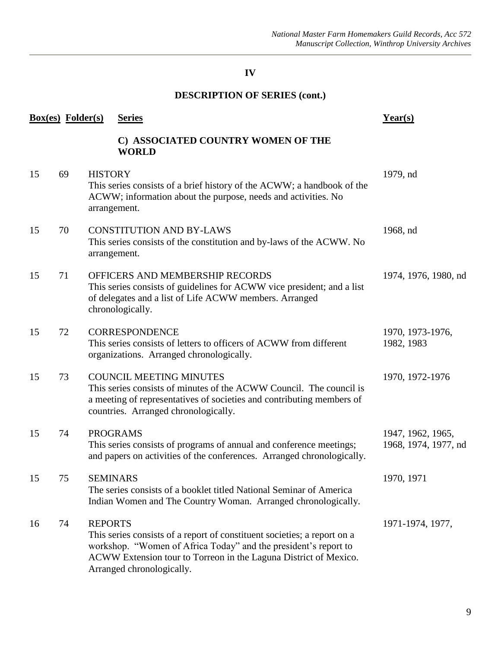| <b>Box(es)</b> Folder(s) |    |                 | <b>Series</b>                                                                                                                                                                                                                                | Year(s)                                   |
|--------------------------|----|-----------------|----------------------------------------------------------------------------------------------------------------------------------------------------------------------------------------------------------------------------------------------|-------------------------------------------|
|                          |    |                 | C) ASSOCIATED COUNTRY WOMEN OF THE<br><b>WORLD</b>                                                                                                                                                                                           |                                           |
| 15                       | 69 | <b>HISTORY</b>  | This series consists of a brief history of the ACWW; a handbook of the<br>ACWW; information about the purpose, needs and activities. No<br>arrangement.                                                                                      | 1979, nd                                  |
| 15                       | 70 |                 | <b>CONSTITUTION AND BY-LAWS</b><br>This series consists of the constitution and by-laws of the ACWW. No<br>arrangement.                                                                                                                      | 1968, nd                                  |
| 15                       | 71 |                 | OFFICERS AND MEMBERSHIP RECORDS<br>This series consists of guidelines for ACWW vice president; and a list<br>of delegates and a list of Life ACWW members. Arranged<br>chronologically.                                                      | 1974, 1976, 1980, nd                      |
| 15                       | 72 |                 | <b>CORRESPONDENCE</b><br>This series consists of letters to officers of ACWW from different<br>organizations. Arranged chronologically.                                                                                                      | 1970, 1973-1976,<br>1982, 1983            |
| 15                       | 73 |                 | <b>COUNCIL MEETING MINUTES</b><br>This series consists of minutes of the ACWW Council. The council is<br>a meeting of representatives of societies and contributing members of<br>countries. Arranged chronologically.                       | 1970, 1972-1976                           |
| 15                       | 74 |                 | <b>PROGRAMS</b><br>This series consists of programs of annual and conference meetings;<br>and papers on activities of the conferences. Arranged chronologically.                                                                             | 1947, 1962, 1965,<br>1968, 1974, 1977, nd |
| 15                       | 75 | <b>SEMINARS</b> | The series consists of a booklet titled National Seminar of America<br>Indian Women and The Country Woman. Arranged chronologically.                                                                                                         | 1970, 1971                                |
| 16                       | 74 | <b>REPORTS</b>  | This series consists of a report of constituent societies; a report on a<br>workshop. "Women of Africa Today" and the president's report to<br>ACWW Extension tour to Torreon in the Laguna District of Mexico.<br>Arranged chronologically. | 1971-1974, 1977,                          |